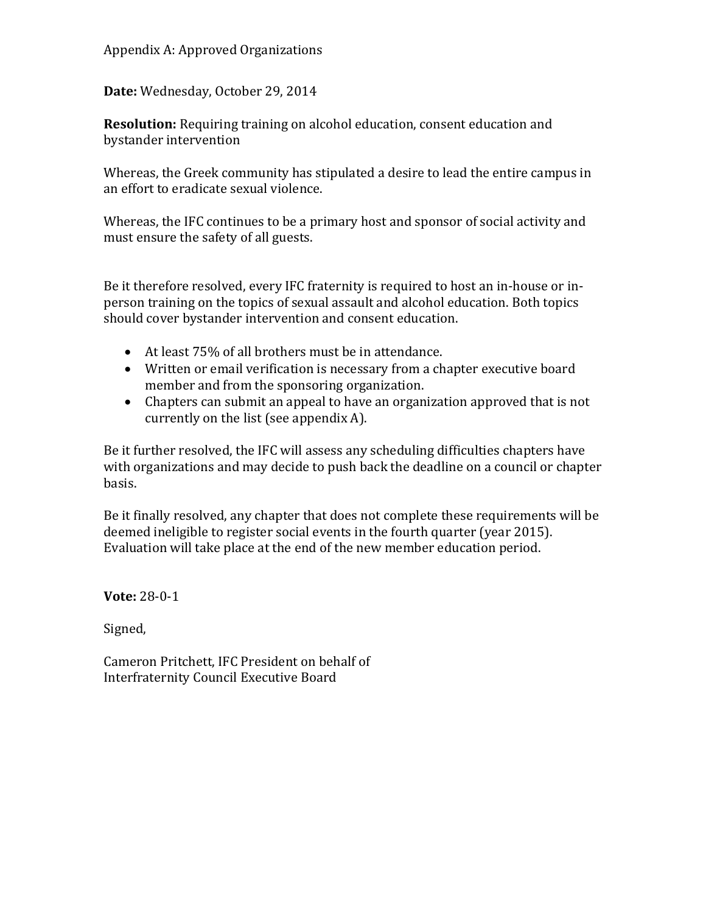## Appendix A: Approved Organizations

**Date:** Wednesday, October 29, 2014

**Resolution:** Requiring training on alcohol education, consent education and bystander intervention

Whereas, the Greek community has stipulated a desire to lead the entire campus in an effort to eradicate sexual violence.

Whereas, the IFC continues to be a primary host and sponsor of social activity and must ensure the safety of all guests.

Be it therefore resolved, every IFC fraternity is required to host an in-house or inperson training on the topics of sexual assault and alcohol education. Both topics should cover bystander intervention and consent education.

- At least 75% of all brothers must be in attendance.
- Written or email verification is necessary from a chapter executive board member and from the sponsoring organization.
- Chapters can submit an appeal to have an organization approved that is not currently on the list (see appendix A).

Be it further resolved, the IFC will assess any scheduling difficulties chapters have with organizations and may decide to push back the deadline on a council or chapter basis.

Be it finally resolved, any chapter that does not complete these requirements will be deemed ineligible to register social events in the fourth quarter (year 2015). Evaluation will take place at the end of the new member education period.

**Vote:** 28-0-1

Signed,

Cameron Pritchett, IFC President on behalf of Interfraternity Council Executive Board